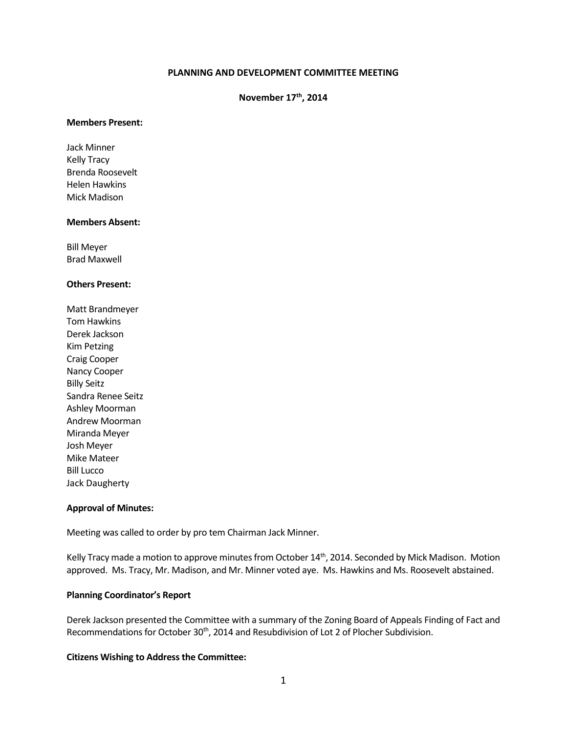#### **PLANNING AND DEVELOPMENT COMMITTEE MEETING**

# **November 17th, 2014**

#### **Members Present:**

Jack Minner Kelly Tracy Brenda Roosevelt Helen Hawkins Mick Madison

#### **Members Absent:**

Bill Meyer Brad Maxwell

#### **Others Present:**

Matt Brandmeyer Tom Hawkins Derek Jackson Kim Petzing Craig Cooper Nancy Cooper Billy Seitz Sandra Renee Seitz Ashley Moorman Andrew Moorman Miranda Meyer Josh Meyer Mike Mateer Bill Lucco Jack Daugherty

#### **Approval of Minutes:**

Meeting was called to order by pro tem Chairman Jack Minner.

Kelly Tracy made a motion to approve minutes from October 14<sup>th</sup>, 2014. Seconded by Mick Madison. Motion approved. Ms. Tracy, Mr. Madison, and Mr. Minner voted aye. Ms. Hawkins and Ms. Roosevelt abstained.

### **Planning Coordinator's Report**

Derek Jackson presented the Committee with a summary of the Zoning Board of Appeals Finding of Fact and Recommendations for October 30<sup>th</sup>, 2014 and Resubdivision of Lot 2 of Plocher Subdivision.

#### **Citizens Wishing to Address the Committee:**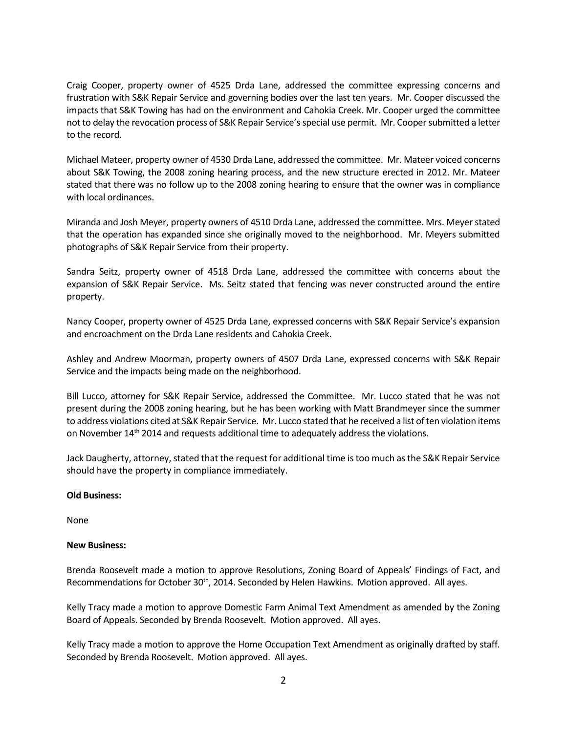Craig Cooper, property owner of 4525 Drda Lane, addressed the committee expressing concerns and frustration with S&K Repair Service and governing bodies over the last ten years. Mr. Cooper discussed the impacts that S&K Towing has had on the environment and Cahokia Creek. Mr. Cooper urged the committee not to delay the revocation process of S&K Repair Service's special use permit. Mr. Cooper submitted a letter to the record.

Michael Mateer, property owner of 4530 Drda Lane, addressed the committee. Mr. Mateer voiced concerns about S&K Towing, the 2008 zoning hearing process, and the new structure erected in 2012. Mr. Mateer stated that there was no follow up to the 2008 zoning hearing to ensure that the owner was in compliance with local ordinances.

Miranda and Josh Meyer, property owners of 4510 Drda Lane, addressed the committee. Mrs. Meyer stated that the operation has expanded since she originally moved to the neighborhood. Mr. Meyers submitted photographs of S&K Repair Service from their property.

Sandra Seitz, property owner of 4518 Drda Lane, addressed the committee with concerns about the expansion of S&K Repair Service. Ms. Seitz stated that fencing was never constructed around the entire property.

Nancy Cooper, property owner of 4525 Drda Lane, expressed concerns with S&K Repair Service's expansion and encroachment on the Drda Lane residents and Cahokia Creek.

Ashley and Andrew Moorman, property owners of 4507 Drda Lane, expressed concerns with S&K Repair Service and the impacts being made on the neighborhood.

Bill Lucco, attorney for S&K Repair Service, addressed the Committee. Mr. Lucco stated that he was not present during the 2008 zoning hearing, but he has been working with Matt Brandmeyer since the summer to address violations cited at S&K Repair Service. Mr. Lucco stated that he received a list of ten violation items on November 14th 2014 and requests additional time to adequately address the violations.

Jack Daugherty, attorney, stated that the request for additional time is too much as the S&K Repair Service should have the property in compliance immediately.

## **Old Business:**

None

#### **New Business:**

Brenda Roosevelt made a motion to approve Resolutions, Zoning Board of Appeals' Findings of Fact, and Recommendations for October 30<sup>th</sup>, 2014. Seconded by Helen Hawkins. Motion approved. All ayes.

Kelly Tracy made a motion to approve Domestic Farm Animal Text Amendment as amended by the Zoning Board of Appeals. Seconded by Brenda Roosevelt. Motion approved. All ayes.

Kelly Tracy made a motion to approve the Home Occupation Text Amendment as originally drafted by staff. Seconded by Brenda Roosevelt. Motion approved. All ayes.